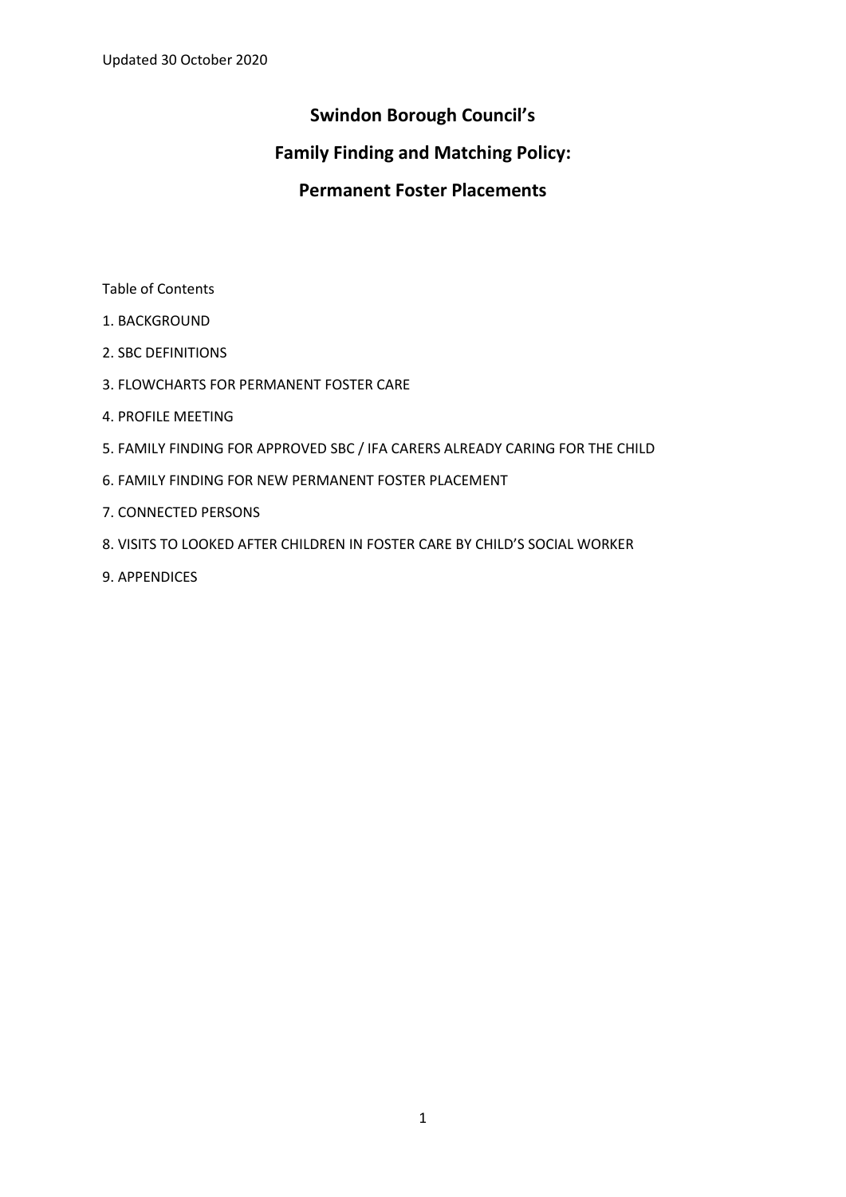# **Swindon Borough Council's**

# **Family Finding and Matching Policy:**

# **Permanent Foster Placements**

Table of Contents

- 1. BACKGROUND
- 2. SBC DEFINITIONS
- 3. FLOWCHARTS FOR PERMANENT FOSTER CARE
- 4. PROFILE MEETING
- 5. FAMILY FINDING FOR APPROVED SBC / IFA CARERS ALREADY CARING FOR THE CHILD
- 6. FAMILY FINDING FOR NEW PERMANENT FOSTER PLACEMENT
- 7. CONNECTED PERSONS
- 8. VISITS TO LOOKED AFTER CHILDREN IN FOSTER CARE BY CHILD'S SOCIAL WORKER
- 9. APPENDICES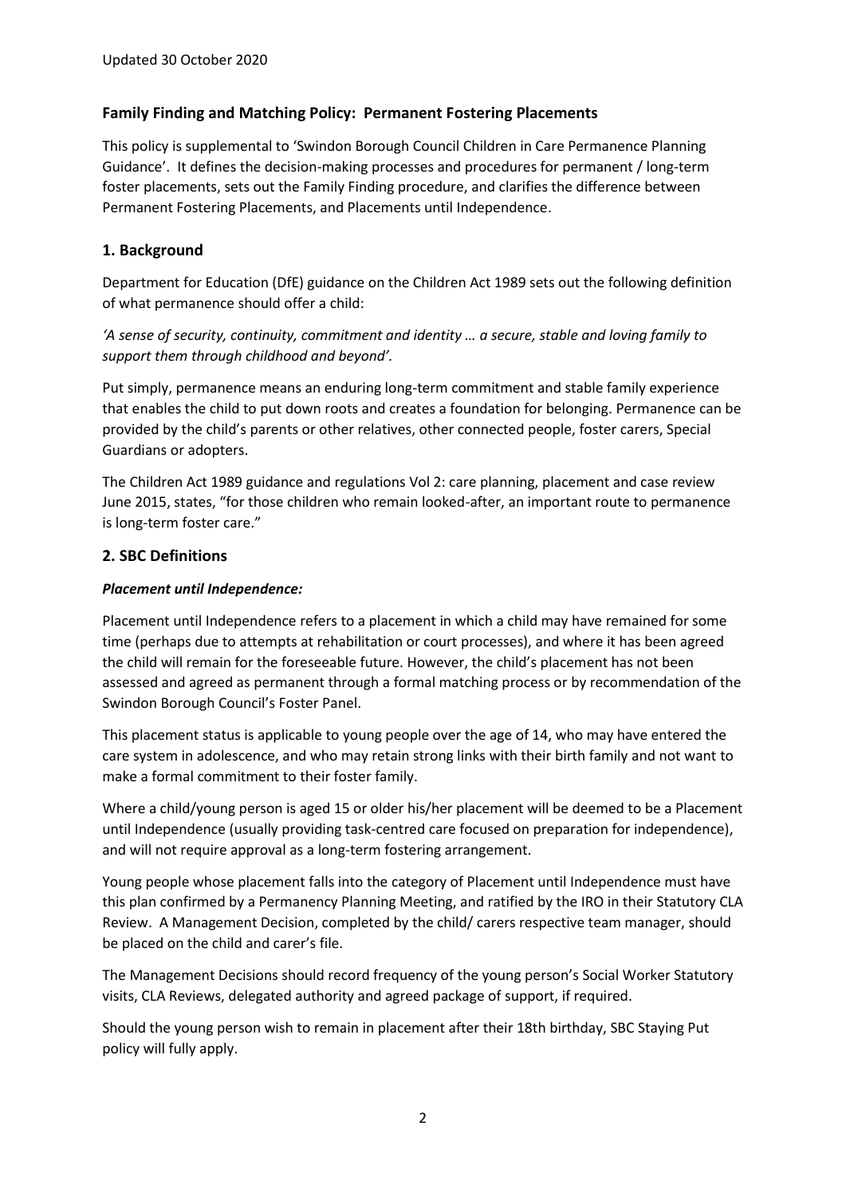# **Family Finding and Matching Policy: Permanent Fostering Placements**

This policy is supplemental to 'Swindon Borough Council Children in Care Permanence Planning Guidance'. It defines the decision-making processes and procedures for permanent / long-term foster placements, sets out the Family Finding procedure, and clarifies the difference between Permanent Fostering Placements, and Placements until Independence.

# **1. Background**

Department for Education (DfE) guidance on the Children Act 1989 sets out the following definition of what permanence should offer a child:

*'A sense of security, continuity, commitment and identity … a secure, stable and loving family to support them through childhood and beyond'.*

Put simply, permanence means an enduring long-term commitment and stable family experience that enables the child to put down roots and creates a foundation for belonging. Permanence can be provided by the child's parents or other relatives, other connected people, foster carers, Special Guardians or adopters.

The Children Act 1989 guidance and regulations Vol 2: care planning, placement and case review June 2015, states, "for those children who remain looked-after, an important route to permanence is long-term foster care."

### **2. SBC Definitions**

### *Placement until Independence:*

Placement until Independence refers to a placement in which a child may have remained for some time (perhaps due to attempts at rehabilitation or court processes), and where it has been agreed the child will remain for the foreseeable future. However, the child's placement has not been assessed and agreed as permanent through a formal matching process or by recommendation of the Swindon Borough Council's Foster Panel.

This placement status is applicable to young people over the age of 14, who may have entered the care system in adolescence, and who may retain strong links with their birth family and not want to make a formal commitment to their foster family.

Where a child/young person is aged 15 or older his/her placement will be deemed to be a Placement until Independence (usually providing task-centred care focused on preparation for independence), and will not require approval as a long-term fostering arrangement.

Young people whose placement falls into the category of Placement until Independence must have this plan confirmed by a Permanency Planning Meeting, and ratified by the IRO in their Statutory CLA Review. A Management Decision, completed by the child/ carers respective team manager, should be placed on the child and carer's file.

The Management Decisions should record frequency of the young person's Social Worker Statutory visits, CLA Reviews, delegated authority and agreed package of support, if required.

Should the young person wish to remain in placement after their 18th birthday, SBC Staying Put policy will fully apply.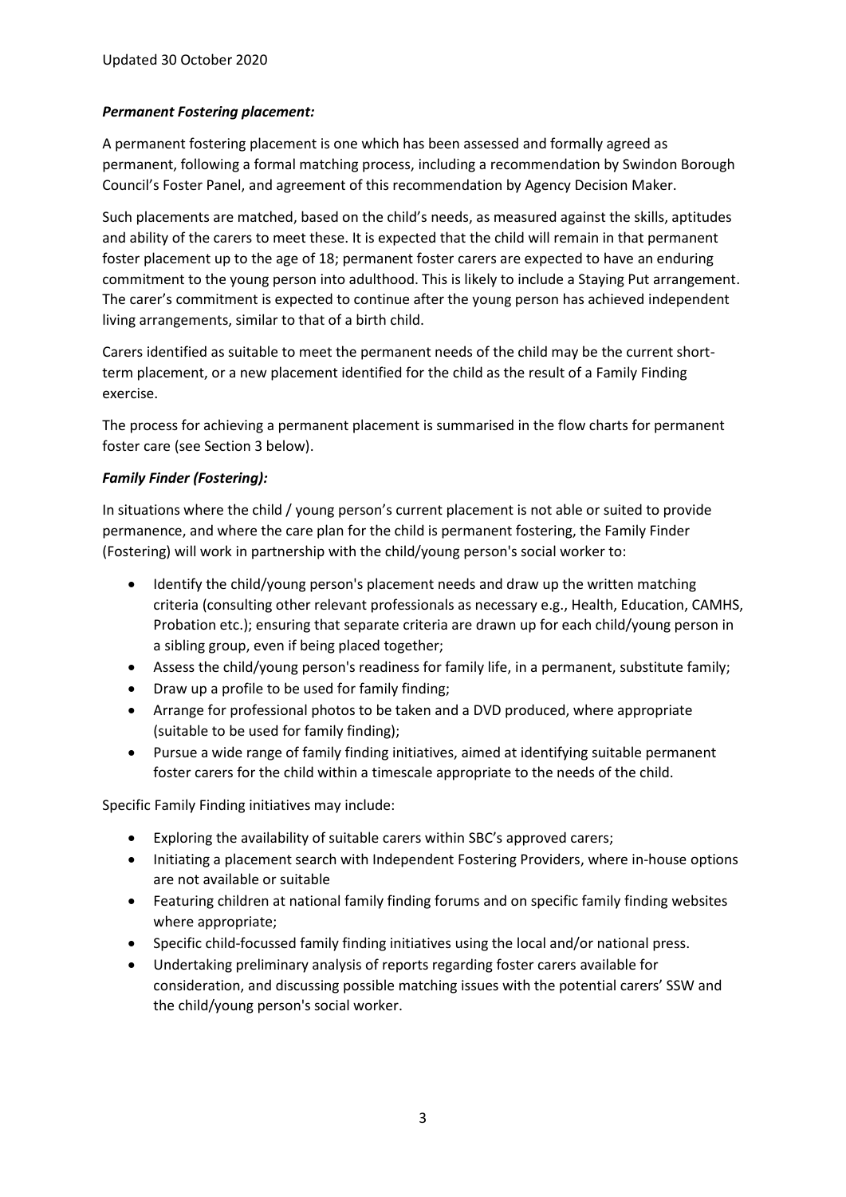### *Permanent Fostering placement:*

A permanent fostering placement is one which has been assessed and formally agreed as permanent, following a formal matching process, including a recommendation by Swindon Borough Council's Foster Panel, and agreement of this recommendation by Agency Decision Maker.

Such placements are matched, based on the child's needs, as measured against the skills, aptitudes and ability of the carers to meet these. It is expected that the child will remain in that permanent foster placement up to the age of 18; permanent foster carers are expected to have an enduring commitment to the young person into adulthood. This is likely to include a Staying Put arrangement. The carer's commitment is expected to continue after the young person has achieved independent living arrangements, similar to that of a birth child.

Carers identified as suitable to meet the permanent needs of the child may be the current shortterm placement, or a new placement identified for the child as the result of a Family Finding exercise.

The process for achieving a permanent placement is summarised in the flow charts for permanent foster care (see Section 3 below).

### *Family Finder (Fostering):*

In situations where the child / young person's current placement is not able or suited to provide permanence, and where the care plan for the child is permanent fostering, the Family Finder (Fostering) will work in partnership with the child/young person's social worker to:

- Identify the child/young person's placement needs and draw up the written matching criteria (consulting other relevant professionals as necessary e.g., Health, Education, CAMHS, Probation etc.); ensuring that separate criteria are drawn up for each child/young person in a sibling group, even if being placed together;
- Assess the child/young person's readiness for family life, in a permanent, substitute family;
- Draw up a profile to be used for family finding;
- Arrange for professional photos to be taken and a DVD produced, where appropriate (suitable to be used for family finding);
- Pursue a wide range of family finding initiatives, aimed at identifying suitable permanent foster carers for the child within a timescale appropriate to the needs of the child.

Specific Family Finding initiatives may include:

- Exploring the availability of suitable carers within SBC's approved carers;
- Initiating a placement search with Independent Fostering Providers, where in-house options are not available or suitable
- Featuring children at national family finding forums and on specific family finding websites where appropriate;
- Specific child-focussed family finding initiatives using the local and/or national press.
- Undertaking preliminary analysis of reports regarding foster carers available for consideration, and discussing possible matching issues with the potential carers' SSW and the child/young person's social worker.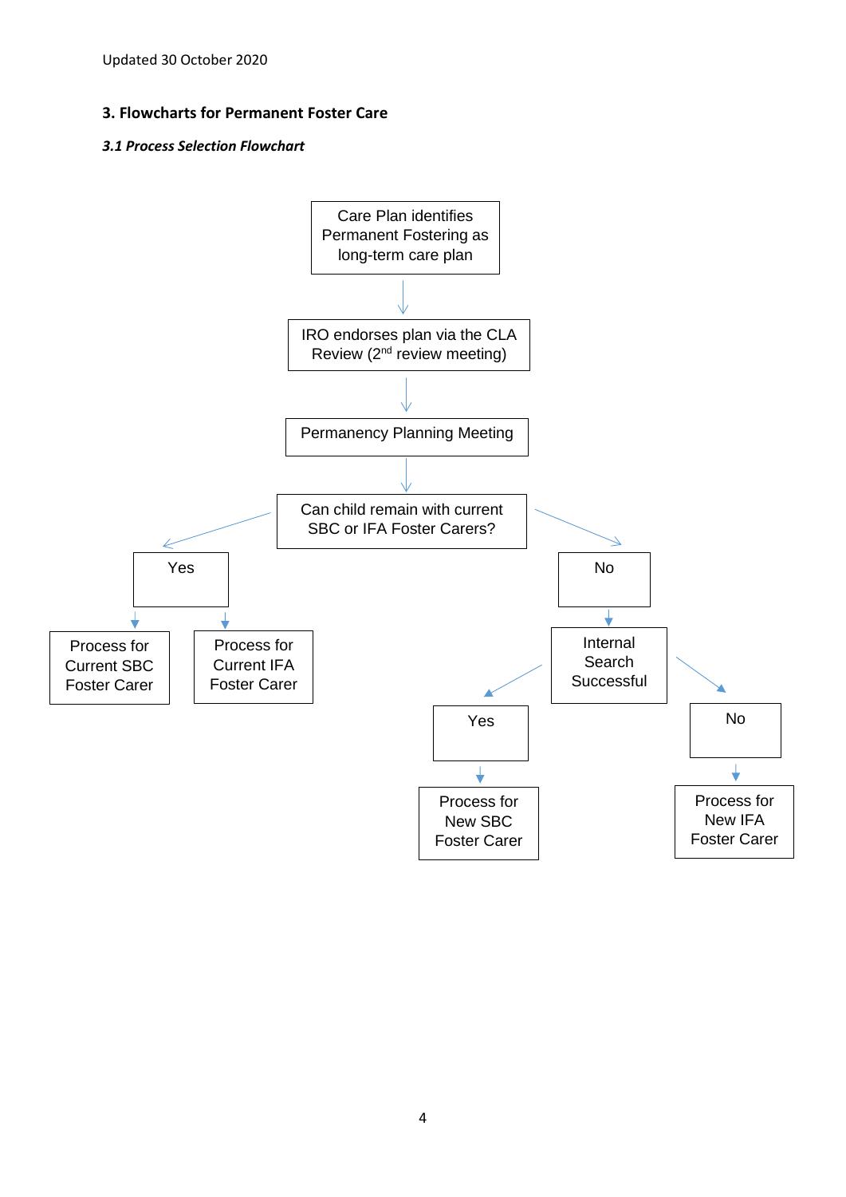Updated 30 October 2020

### **3. Flowcharts for Permanent Foster Care**

#### *3.1 Process Selection Flowchart*

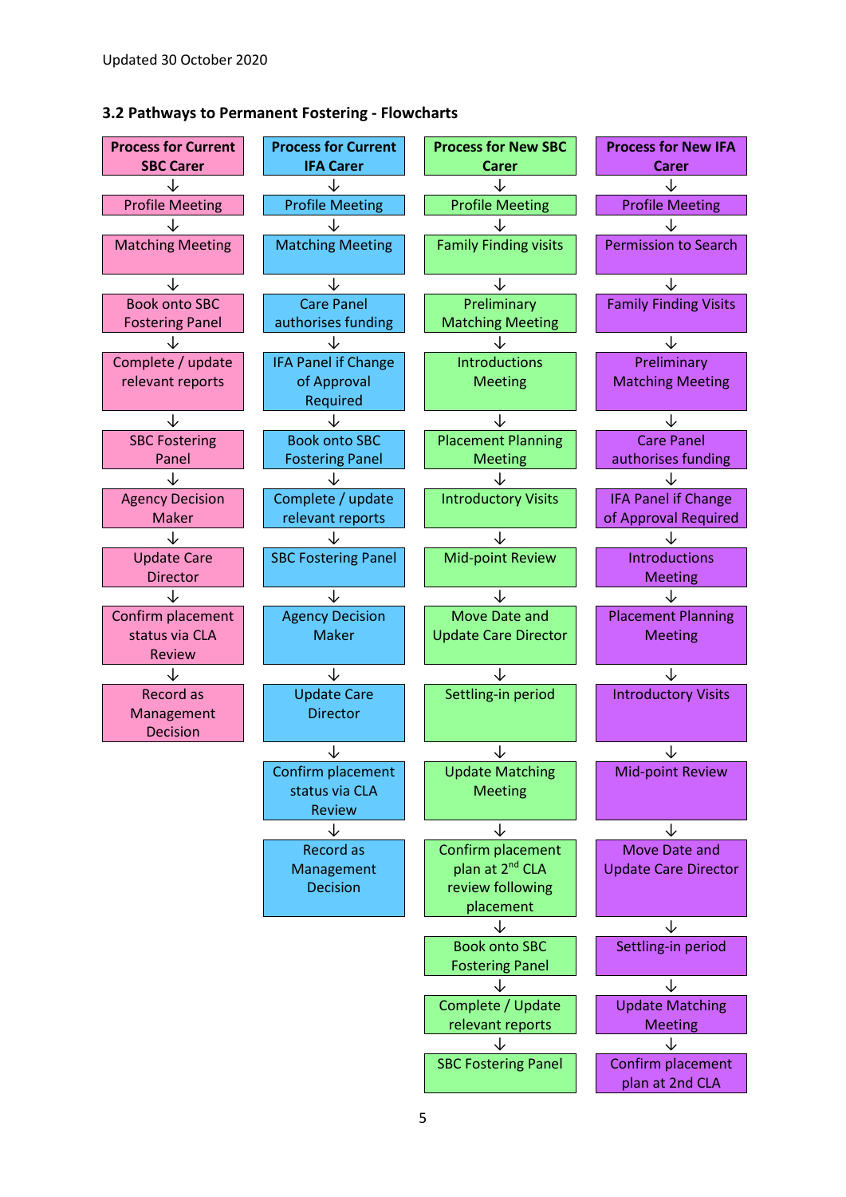#### **3.2 Pathways to Permanent Fostering - Flowcharts**

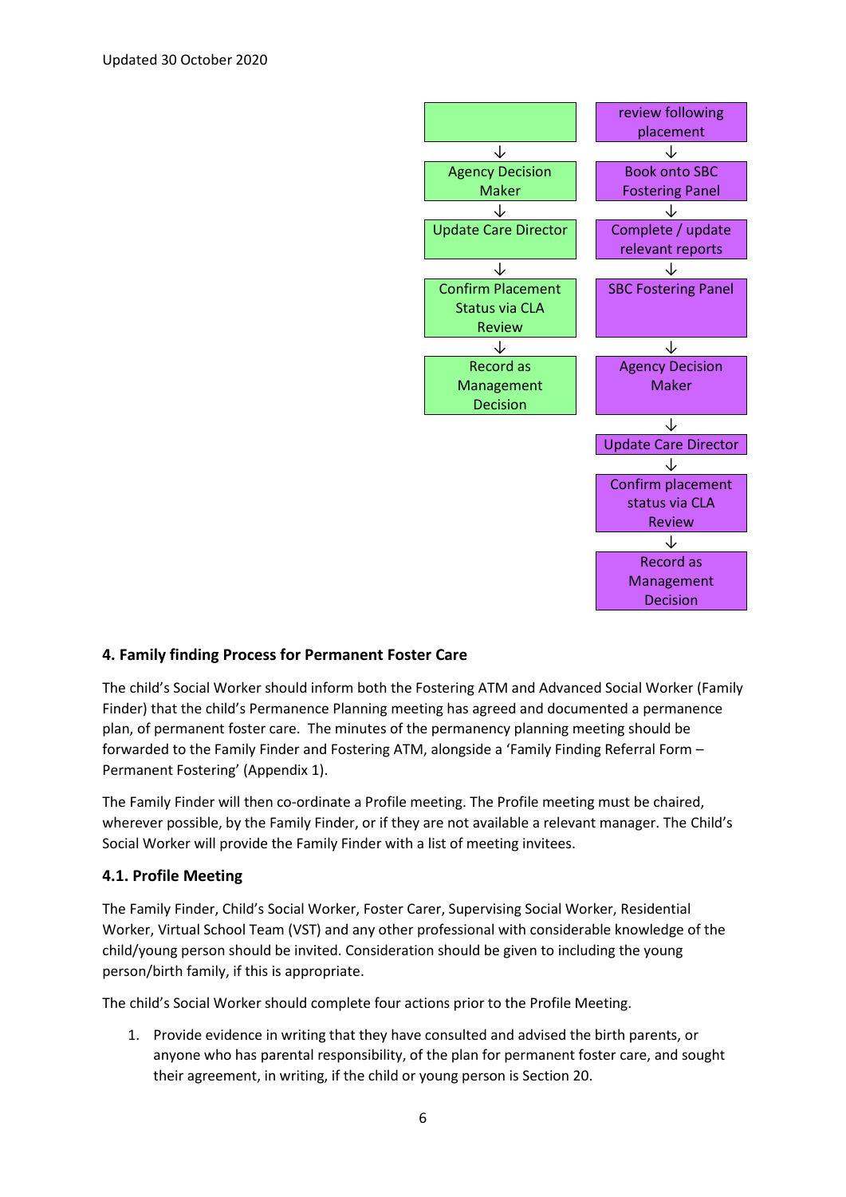

# **4. Family finding Process for Permanent Foster Care**

The child's Social Worker should inform both the Fostering ATM and Advanced Social Worker (Family Finder) that the child's Permanence Planning meeting has agreed and documented a permanence plan, of permanent foster care. The minutes of the permanency planning meeting should be forwarded to the Family Finder and Fostering ATM, alongside a 'Family Finding Referral Form – Permanent Fostering' (Appendix 1).

The Family Finder will then co-ordinate a Profile meeting. The Profile meeting must be chaired, wherever possible, by the Family Finder, or if they are not available a relevant manager. The Child's Social Worker will provide the Family Finder with a list of meeting invitees.

#### **4.1. Profile Meeting**

The Family Finder, Child's Social Worker, Foster Carer, Supervising Social Worker, Residential Worker, Virtual School Team (VST) and any other professional with considerable knowledge of the child/young person should be invited. Consideration should be given to including the young person/birth family, if this is appropriate.

The child's Social Worker should complete four actions prior to the Profile Meeting.

1. Provide evidence in writing that they have consulted and advised the birth parents, or anyone who has parental responsibility, of the plan for permanent foster care, and sought their agreement, in writing, if the child or young person is Section 20.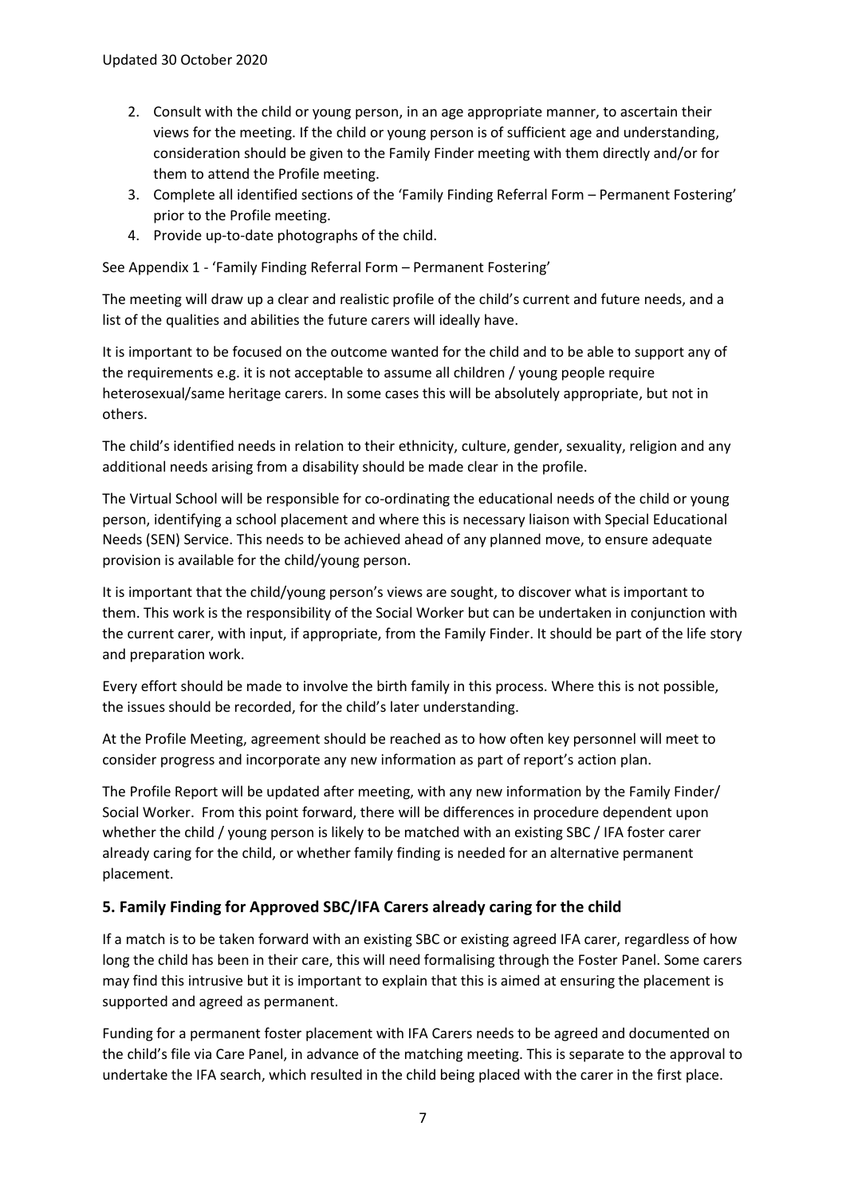- 2. Consult with the child or young person, in an age appropriate manner, to ascertain their views for the meeting. If the child or young person is of sufficient age and understanding, consideration should be given to the Family Finder meeting with them directly and/or for them to attend the Profile meeting.
- 3. Complete all identified sections of the 'Family Finding Referral Form Permanent Fostering' prior to the Profile meeting.
- 4. Provide up-to-date photographs of the child.

See Appendix 1 - 'Family Finding Referral Form – Permanent Fostering'

The meeting will draw up a clear and realistic profile of the child's current and future needs, and a list of the qualities and abilities the future carers will ideally have.

It is important to be focused on the outcome wanted for the child and to be able to support any of the requirements e.g. it is not acceptable to assume all children / young people require heterosexual/same heritage carers. In some cases this will be absolutely appropriate, but not in others.

The child's identified needs in relation to their ethnicity, culture, gender, sexuality, religion and any additional needs arising from a disability should be made clear in the profile.

The Virtual School will be responsible for co-ordinating the educational needs of the child or young person, identifying a school placement and where this is necessary liaison with Special Educational Needs (SEN) Service. This needs to be achieved ahead of any planned move, to ensure adequate provision is available for the child/young person.

It is important that the child/young person's views are sought, to discover what is important to them. This work is the responsibility of the Social Worker but can be undertaken in conjunction with the current carer, with input, if appropriate, from the Family Finder. It should be part of the life story and preparation work.

Every effort should be made to involve the birth family in this process. Where this is not possible, the issues should be recorded, for the child's later understanding.

At the Profile Meeting, agreement should be reached as to how often key personnel will meet to consider progress and incorporate any new information as part of report's action plan.

The Profile Report will be updated after meeting, with any new information by the Family Finder/ Social Worker. From this point forward, there will be differences in procedure dependent upon whether the child / young person is likely to be matched with an existing SBC / IFA foster carer already caring for the child, or whether family finding is needed for an alternative permanent placement.

# **5. Family Finding for Approved SBC/IFA Carers already caring for the child**

If a match is to be taken forward with an existing SBC or existing agreed IFA carer, regardless of how long the child has been in their care, this will need formalising through the Foster Panel. Some carers may find this intrusive but it is important to explain that this is aimed at ensuring the placement is supported and agreed as permanent.

Funding for a permanent foster placement with IFA Carers needs to be agreed and documented on the child's file via Care Panel, in advance of the matching meeting. This is separate to the approval to undertake the IFA search, which resulted in the child being placed with the carer in the first place.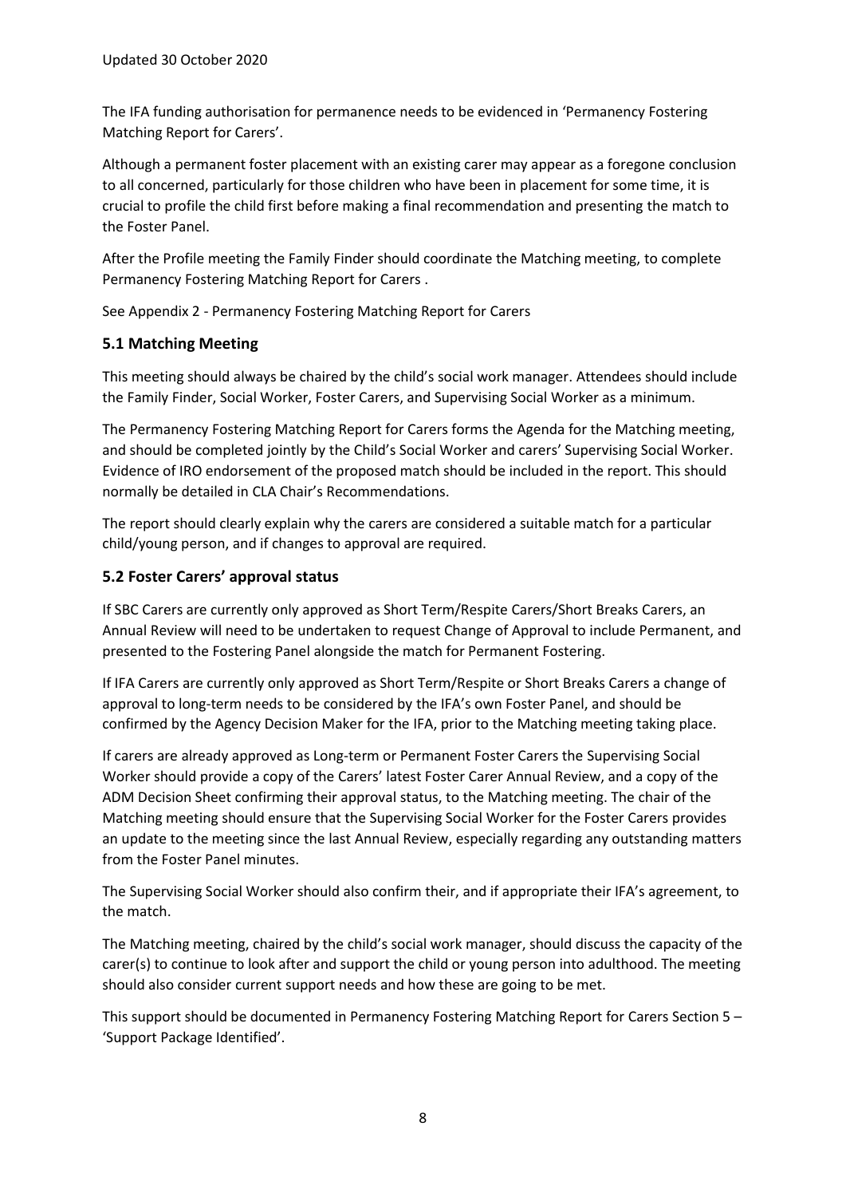The IFA funding authorisation for permanence needs to be evidenced in 'Permanency Fostering Matching Report for Carers'.

Although a permanent foster placement with an existing carer may appear as a foregone conclusion to all concerned, particularly for those children who have been in placement for some time, it is crucial to profile the child first before making a final recommendation and presenting the match to the Foster Panel.

After the Profile meeting the Family Finder should coordinate the Matching meeting, to complete Permanency Fostering Matching Report for Carers .

See Appendix 2 - Permanency Fostering Matching Report for Carers

# **5.1 Matching Meeting**

This meeting should always be chaired by the child's social work manager. Attendees should include the Family Finder, Social Worker, Foster Carers, and Supervising Social Worker as a minimum.

The Permanency Fostering Matching Report for Carers forms the Agenda for the Matching meeting, and should be completed jointly by the Child's Social Worker and carers' Supervising Social Worker. Evidence of IRO endorsement of the proposed match should be included in the report. This should normally be detailed in CLA Chair's Recommendations.

The report should clearly explain why the carers are considered a suitable match for a particular child/young person, and if changes to approval are required.

# **5.2 Foster Carers' approval status**

If SBC Carers are currently only approved as Short Term/Respite Carers/Short Breaks Carers, an Annual Review will need to be undertaken to request Change of Approval to include Permanent, and presented to the Fostering Panel alongside the match for Permanent Fostering.

If IFA Carers are currently only approved as Short Term/Respite or Short Breaks Carers a change of approval to long-term needs to be considered by the IFA's own Foster Panel, and should be confirmed by the Agency Decision Maker for the IFA, prior to the Matching meeting taking place.

If carers are already approved as Long-term or Permanent Foster Carers the Supervising Social Worker should provide a copy of the Carers' latest Foster Carer Annual Review, and a copy of the ADM Decision Sheet confirming their approval status, to the Matching meeting. The chair of the Matching meeting should ensure that the Supervising Social Worker for the Foster Carers provides an update to the meeting since the last Annual Review, especially regarding any outstanding matters from the Foster Panel minutes.

The Supervising Social Worker should also confirm their, and if appropriate their IFA's agreement, to the match.

The Matching meeting, chaired by the child's social work manager, should discuss the capacity of the carer(s) to continue to look after and support the child or young person into adulthood. The meeting should also consider current support needs and how these are going to be met.

This support should be documented in Permanency Fostering Matching Report for Carers Section 5 – 'Support Package Identified'.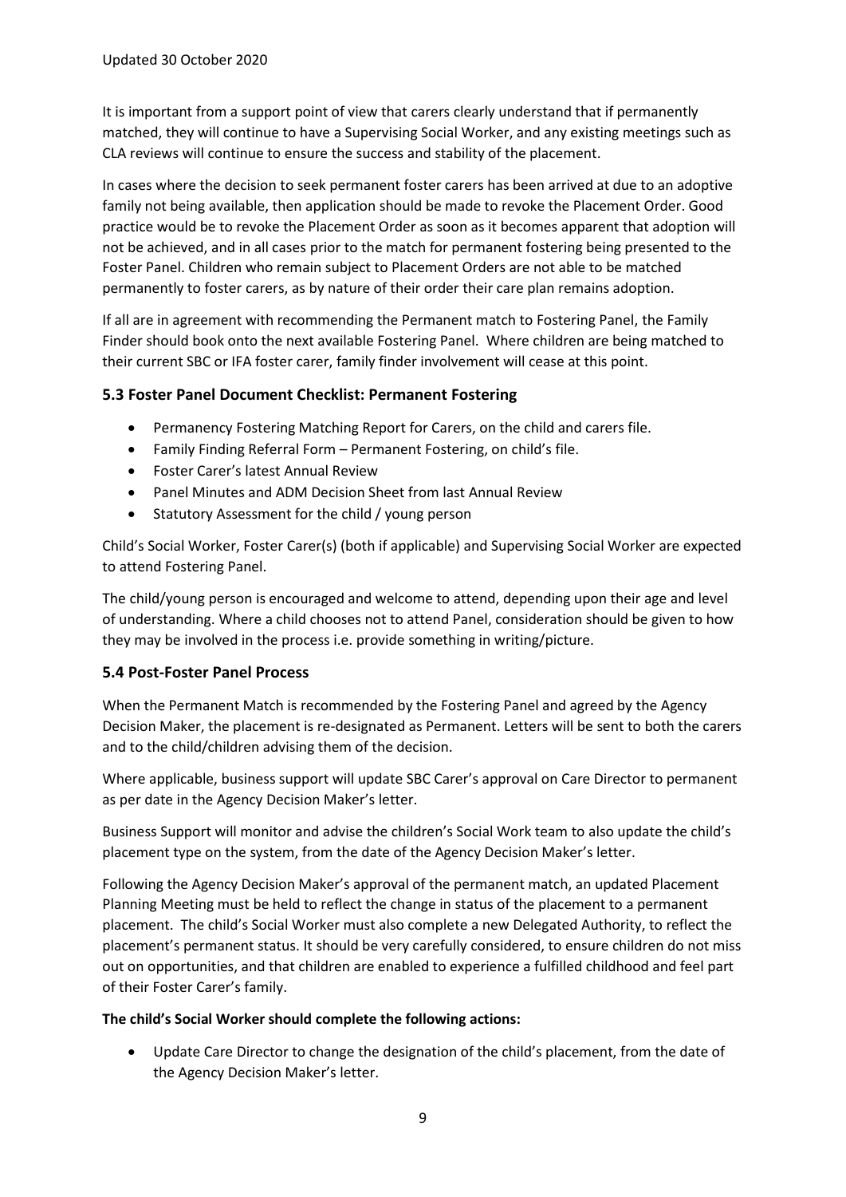It is important from a support point of view that carers clearly understand that if permanently matched, they will continue to have a Supervising Social Worker, and any existing meetings such as CLA reviews will continue to ensure the success and stability of the placement.

In cases where the decision to seek permanent foster carers has been arrived at due to an adoptive family not being available, then application should be made to revoke the Placement Order. Good practice would be to revoke the Placement Order as soon as it becomes apparent that adoption will not be achieved, and in all cases prior to the match for permanent fostering being presented to the Foster Panel. Children who remain subject to Placement Orders are not able to be matched permanently to foster carers, as by nature of their order their care plan remains adoption.

If all are in agreement with recommending the Permanent match to Fostering Panel, the Family Finder should book onto the next available Fostering Panel. Where children are being matched to their current SBC or IFA foster carer, family finder involvement will cease at this point.

### **5.3 Foster Panel Document Checklist: Permanent Fostering**

- Permanency Fostering Matching Report for Carers, on the child and carers file.
- Family Finding Referral Form Permanent Fostering, on child's file.
- Foster Carer's latest Annual Review
- Panel Minutes and ADM Decision Sheet from last Annual Review
- Statutory Assessment for the child / young person

Child's Social Worker, Foster Carer(s) (both if applicable) and Supervising Social Worker are expected to attend Fostering Panel.

The child/young person is encouraged and welcome to attend, depending upon their age and level of understanding. Where a child chooses not to attend Panel, consideration should be given to how they may be involved in the process i.e. provide something in writing/picture.

#### **5.4 Post-Foster Panel Process**

When the Permanent Match is recommended by the Fostering Panel and agreed by the Agency Decision Maker, the placement is re-designated as Permanent. Letters will be sent to both the carers and to the child/children advising them of the decision.

Where applicable, business support will update SBC Carer's approval on Care Director to permanent as per date in the Agency Decision Maker's letter.

Business Support will monitor and advise the children's Social Work team to also update the child's placement type on the system, from the date of the Agency Decision Maker's letter.

Following the Agency Decision Maker's approval of the permanent match, an updated Placement Planning Meeting must be held to reflect the change in status of the placement to a permanent placement. The child's Social Worker must also complete a new Delegated Authority, to reflect the placement's permanent status. It should be very carefully considered, to ensure children do not miss out on opportunities, and that children are enabled to experience a fulfilled childhood and feel part of their Foster Carer's family.

#### **The child's Social Worker should complete the following actions:**

• Update Care Director to change the designation of the child's placement, from the date of the Agency Decision Maker's letter.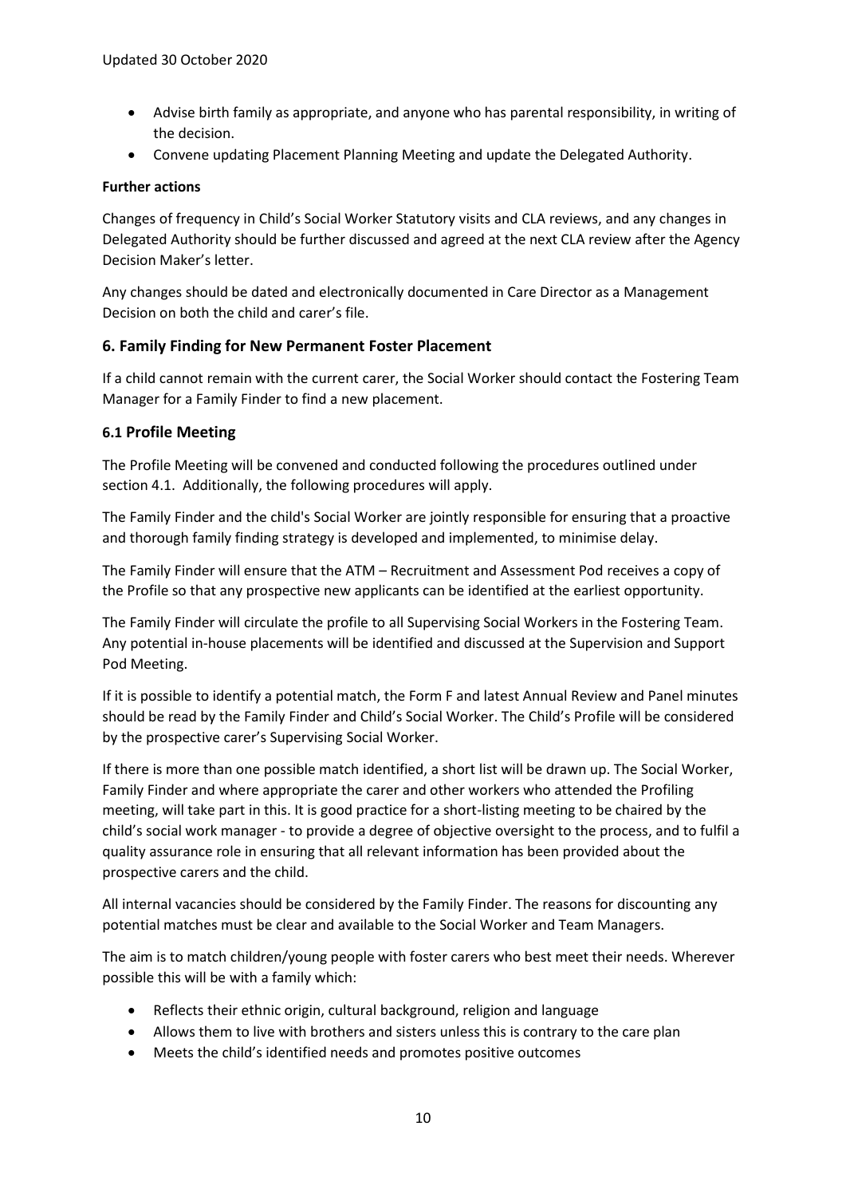- Advise birth family as appropriate, and anyone who has parental responsibility, in writing of the decision.
- Convene updating Placement Planning Meeting and update the Delegated Authority.

### **Further actions**

Changes of frequency in Child's Social Worker Statutory visits and CLA reviews, and any changes in Delegated Authority should be further discussed and agreed at the next CLA review after the Agency Decision Maker's letter.

Any changes should be dated and electronically documented in Care Director as a Management Decision on both the child and carer's file.

# **6. Family Finding for New Permanent Foster Placement**

If a child cannot remain with the current carer, the Social Worker should contact the Fostering Team Manager for a Family Finder to find a new placement.

### **6.1 Profile Meeting**

The Profile Meeting will be convened and conducted following the procedures outlined under section 4.1. Additionally, the following procedures will apply.

The Family Finder and the child's Social Worker are jointly responsible for ensuring that a proactive and thorough family finding strategy is developed and implemented, to minimise delay.

The Family Finder will ensure that the ATM – Recruitment and Assessment Pod receives a copy of the Profile so that any prospective new applicants can be identified at the earliest opportunity.

The Family Finder will circulate the profile to all Supervising Social Workers in the Fostering Team. Any potential in-house placements will be identified and discussed at the Supervision and Support Pod Meeting.

If it is possible to identify a potential match, the Form F and latest Annual Review and Panel minutes should be read by the Family Finder and Child's Social Worker. The Child's Profile will be considered by the prospective carer's Supervising Social Worker.

If there is more than one possible match identified, a short list will be drawn up. The Social Worker, Family Finder and where appropriate the carer and other workers who attended the Profiling meeting, will take part in this. It is good practice for a short-listing meeting to be chaired by the child's social work manager - to provide a degree of objective oversight to the process, and to fulfil a quality assurance role in ensuring that all relevant information has been provided about the prospective carers and the child.

All internal vacancies should be considered by the Family Finder. The reasons for discounting any potential matches must be clear and available to the Social Worker and Team Managers.

The aim is to match children/young people with foster carers who best meet their needs. Wherever possible this will be with a family which:

- Reflects their ethnic origin, cultural background, religion and language
- Allows them to live with brothers and sisters unless this is contrary to the care plan
- Meets the child's identified needs and promotes positive outcomes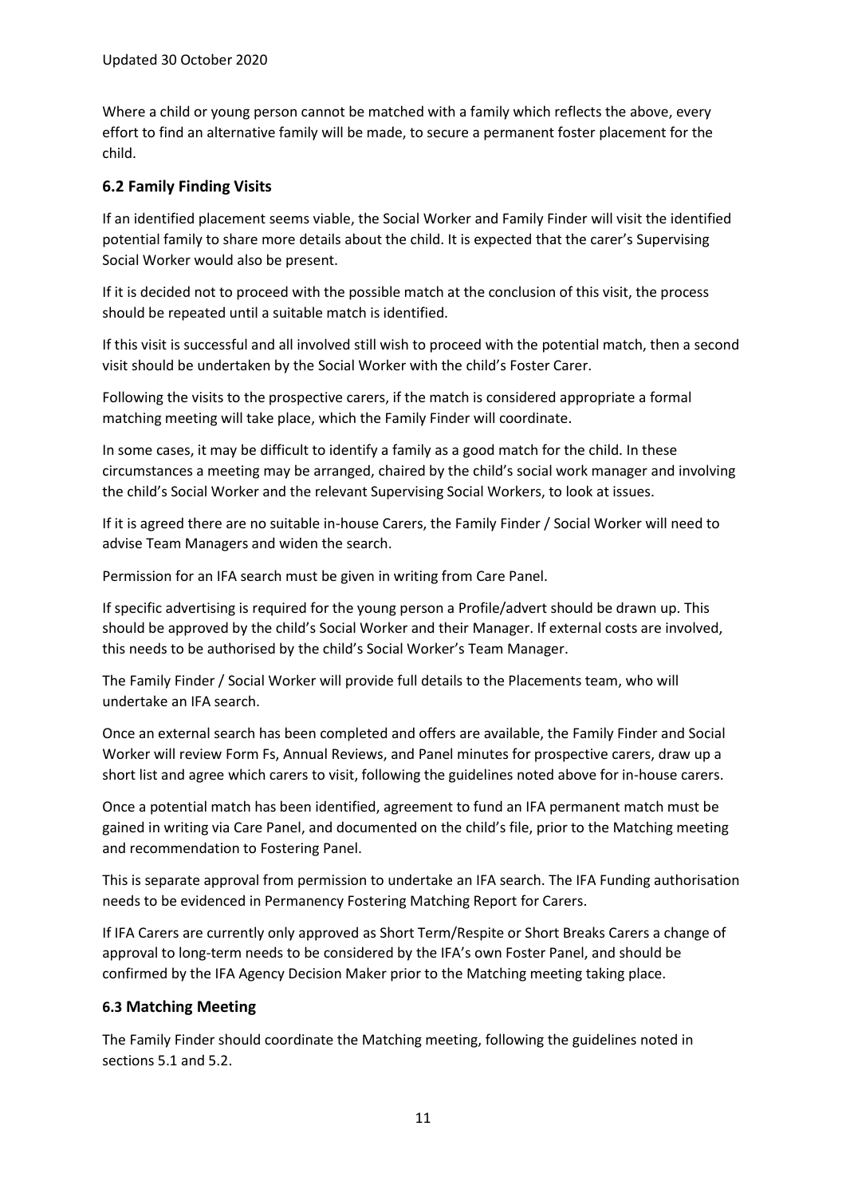Where a child or young person cannot be matched with a family which reflects the above, every effort to find an alternative family will be made, to secure a permanent foster placement for the child.

# **6.2 Family Finding Visits**

If an identified placement seems viable, the Social Worker and Family Finder will visit the identified potential family to share more details about the child. It is expected that the carer's Supervising Social Worker would also be present.

If it is decided not to proceed with the possible match at the conclusion of this visit, the process should be repeated until a suitable match is identified.

If this visit is successful and all involved still wish to proceed with the potential match, then a second visit should be undertaken by the Social Worker with the child's Foster Carer.

Following the visits to the prospective carers, if the match is considered appropriate a formal matching meeting will take place, which the Family Finder will coordinate.

In some cases, it may be difficult to identify a family as a good match for the child. In these circumstances a meeting may be arranged, chaired by the child's social work manager and involving the child's Social Worker and the relevant Supervising Social Workers, to look at issues.

If it is agreed there are no suitable in-house Carers, the Family Finder / Social Worker will need to advise Team Managers and widen the search.

Permission for an IFA search must be given in writing from Care Panel.

If specific advertising is required for the young person a Profile/advert should be drawn up. This should be approved by the child's Social Worker and their Manager. If external costs are involved, this needs to be authorised by the child's Social Worker's Team Manager.

The Family Finder / Social Worker will provide full details to the Placements team, who will undertake an IFA search.

Once an external search has been completed and offers are available, the Family Finder and Social Worker will review Form Fs, Annual Reviews, and Panel minutes for prospective carers, draw up a short list and agree which carers to visit, following the guidelines noted above for in-house carers.

Once a potential match has been identified, agreement to fund an IFA permanent match must be gained in writing via Care Panel, and documented on the child's file, prior to the Matching meeting and recommendation to Fostering Panel.

This is separate approval from permission to undertake an IFA search. The IFA Funding authorisation needs to be evidenced in Permanency Fostering Matching Report for Carers.

If IFA Carers are currently only approved as Short Term/Respite or Short Breaks Carers a change of approval to long-term needs to be considered by the IFA's own Foster Panel, and should be confirmed by the IFA Agency Decision Maker prior to the Matching meeting taking place.

# **6.3 Matching Meeting**

The Family Finder should coordinate the Matching meeting, following the guidelines noted in sections 5.1 and 5.2.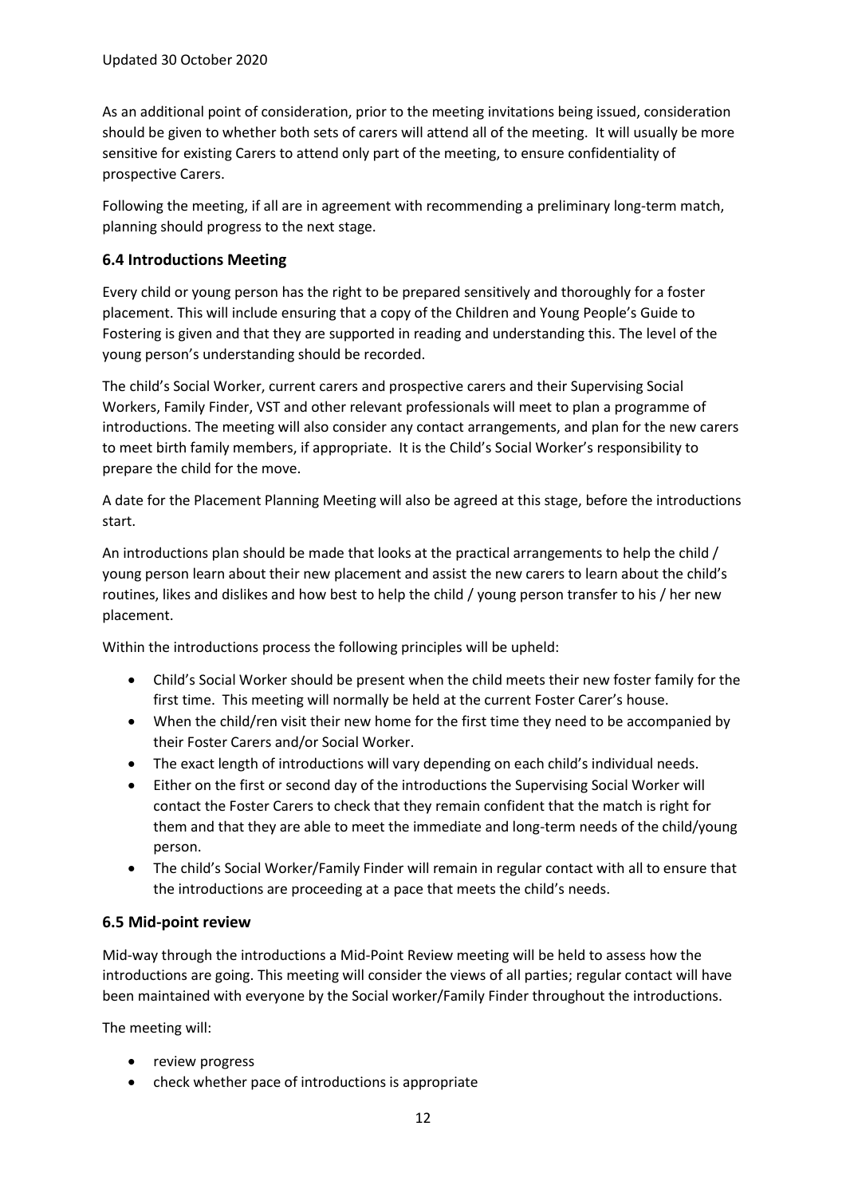As an additional point of consideration, prior to the meeting invitations being issued, consideration should be given to whether both sets of carers will attend all of the meeting. It will usually be more sensitive for existing Carers to attend only part of the meeting, to ensure confidentiality of prospective Carers.

Following the meeting, if all are in agreement with recommending a preliminary long-term match, planning should progress to the next stage.

### **6.4 Introductions Meeting**

Every child or young person has the right to be prepared sensitively and thoroughly for a foster placement. This will include ensuring that a copy of the Children and Young People's Guide to Fostering is given and that they are supported in reading and understanding this. The level of the young person's understanding should be recorded.

The child's Social Worker, current carers and prospective carers and their Supervising Social Workers, Family Finder, VST and other relevant professionals will meet to plan a programme of introductions. The meeting will also consider any contact arrangements, and plan for the new carers to meet birth family members, if appropriate. It is the Child's Social Worker's responsibility to prepare the child for the move.

A date for the Placement Planning Meeting will also be agreed at this stage, before the introductions start.

An introductions plan should be made that looks at the practical arrangements to help the child / young person learn about their new placement and assist the new carers to learn about the child's routines, likes and dislikes and how best to help the child / young person transfer to his / her new placement.

Within the introductions process the following principles will be upheld:

- Child's Social Worker should be present when the child meets their new foster family for the first time. This meeting will normally be held at the current Foster Carer's house.
- When the child/ren visit their new home for the first time they need to be accompanied by their Foster Carers and/or Social Worker.
- The exact length of introductions will vary depending on each child's individual needs.
- Either on the first or second day of the introductions the Supervising Social Worker will contact the Foster Carers to check that they remain confident that the match is right for them and that they are able to meet the immediate and long-term needs of the child/young person.
- The child's Social Worker/Family Finder will remain in regular contact with all to ensure that the introductions are proceeding at a pace that meets the child's needs.

#### **6.5 Mid-point review**

Mid-way through the introductions a Mid-Point Review meeting will be held to assess how the introductions are going. This meeting will consider the views of all parties; regular contact will have been maintained with everyone by the Social worker/Family Finder throughout the introductions.

The meeting will:

- review progress
- check whether pace of introductions is appropriate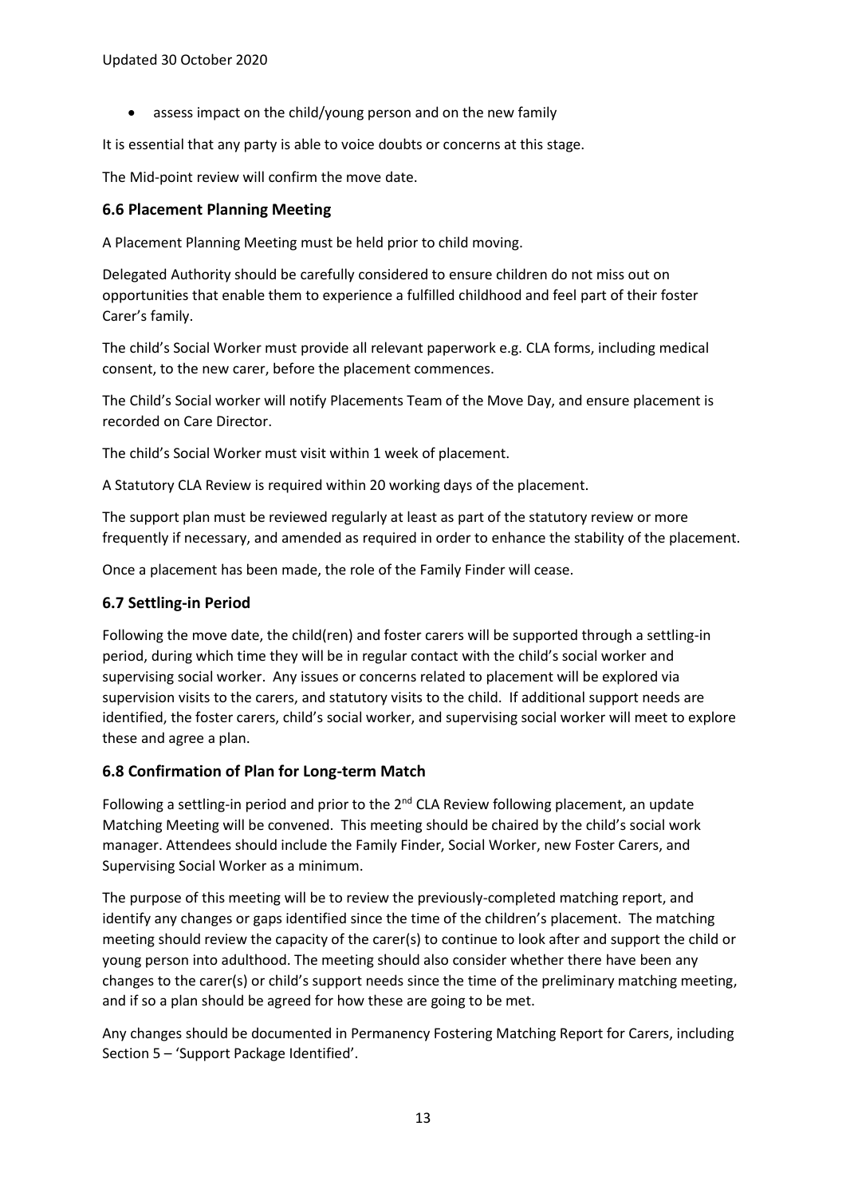• assess impact on the child/young person and on the new family

It is essential that any party is able to voice doubts or concerns at this stage.

The Mid-point review will confirm the move date.

### **6.6 Placement Planning Meeting**

A Placement Planning Meeting must be held prior to child moving.

Delegated Authority should be carefully considered to ensure children do not miss out on opportunities that enable them to experience a fulfilled childhood and feel part of their foster Carer's family.

The child's Social Worker must provide all relevant paperwork e.g. CLA forms, including medical consent, to the new carer, before the placement commences.

The Child's Social worker will notify Placements Team of the Move Day, and ensure placement is recorded on Care Director.

The child's Social Worker must visit within 1 week of placement.

A Statutory CLA Review is required within 20 working days of the placement.

The support plan must be reviewed regularly at least as part of the statutory review or more frequently if necessary, and amended as required in order to enhance the stability of the placement.

Once a placement has been made, the role of the Family Finder will cease.

# **6.7 Settling-in Period**

Following the move date, the child(ren) and foster carers will be supported through a settling-in period, during which time they will be in regular contact with the child's social worker and supervising social worker. Any issues or concerns related to placement will be explored via supervision visits to the carers, and statutory visits to the child. If additional support needs are identified, the foster carers, child's social worker, and supervising social worker will meet to explore these and agree a plan.

# **6.8 Confirmation of Plan for Long-term Match**

Following a settling-in period and prior to the  $2^{nd}$  CLA Review following placement, an update Matching Meeting will be convened. This meeting should be chaired by the child's social work manager. Attendees should include the Family Finder, Social Worker, new Foster Carers, and Supervising Social Worker as a minimum.

The purpose of this meeting will be to review the previously-completed matching report, and identify any changes or gaps identified since the time of the children's placement. The matching meeting should review the capacity of the carer(s) to continue to look after and support the child or young person into adulthood. The meeting should also consider whether there have been any changes to the carer(s) or child's support needs since the time of the preliminary matching meeting, and if so a plan should be agreed for how these are going to be met.

Any changes should be documented in Permanency Fostering Matching Report for Carers, including Section 5 – 'Support Package Identified'.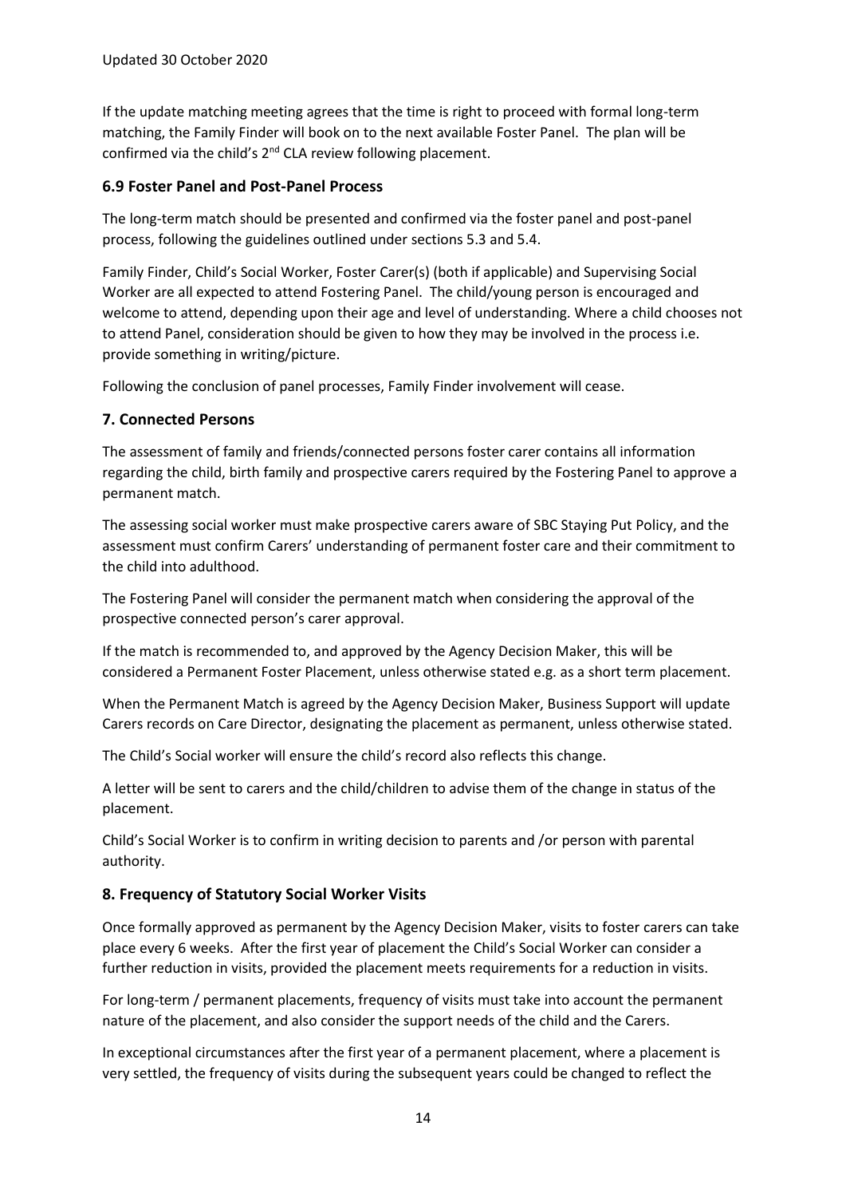If the update matching meeting agrees that the time is right to proceed with formal long-term matching, the Family Finder will book on to the next available Foster Panel. The plan will be confirmed via the child's 2nd CLA review following placement.

### **6.9 Foster Panel and Post-Panel Process**

The long-term match should be presented and confirmed via the foster panel and post-panel process, following the guidelines outlined under sections 5.3 and 5.4.

Family Finder, Child's Social Worker, Foster Carer(s) (both if applicable) and Supervising Social Worker are all expected to attend Fostering Panel. The child/young person is encouraged and welcome to attend, depending upon their age and level of understanding. Where a child chooses not to attend Panel, consideration should be given to how they may be involved in the process i.e. provide something in writing/picture.

Following the conclusion of panel processes, Family Finder involvement will cease.

### **7. Connected Persons**

The assessment of family and friends/connected persons foster carer contains all information regarding the child, birth family and prospective carers required by the Fostering Panel to approve a permanent match.

The assessing social worker must make prospective carers aware of SBC Staying Put Policy, and the assessment must confirm Carers' understanding of permanent foster care and their commitment to the child into adulthood.

The Fostering Panel will consider the permanent match when considering the approval of the prospective connected person's carer approval.

If the match is recommended to, and approved by the Agency Decision Maker, this will be considered a Permanent Foster Placement, unless otherwise stated e.g. as a short term placement.

When the Permanent Match is agreed by the Agency Decision Maker, Business Support will update Carers records on Care Director, designating the placement as permanent, unless otherwise stated.

The Child's Social worker will ensure the child's record also reflects this change.

A letter will be sent to carers and the child/children to advise them of the change in status of the placement.

Child's Social Worker is to confirm in writing decision to parents and /or person with parental authority.

# **8. Frequency of Statutory Social Worker Visits**

Once formally approved as permanent by the Agency Decision Maker, visits to foster carers can take place every 6 weeks. After the first year of placement the Child's Social Worker can consider a further reduction in visits, provided the placement meets requirements for a reduction in visits.

For long-term / permanent placements, frequency of visits must take into account the permanent nature of the placement, and also consider the support needs of the child and the Carers.

In exceptional circumstances after the first year of a permanent placement, where a placement is very settled, the frequency of visits during the subsequent years could be changed to reflect the